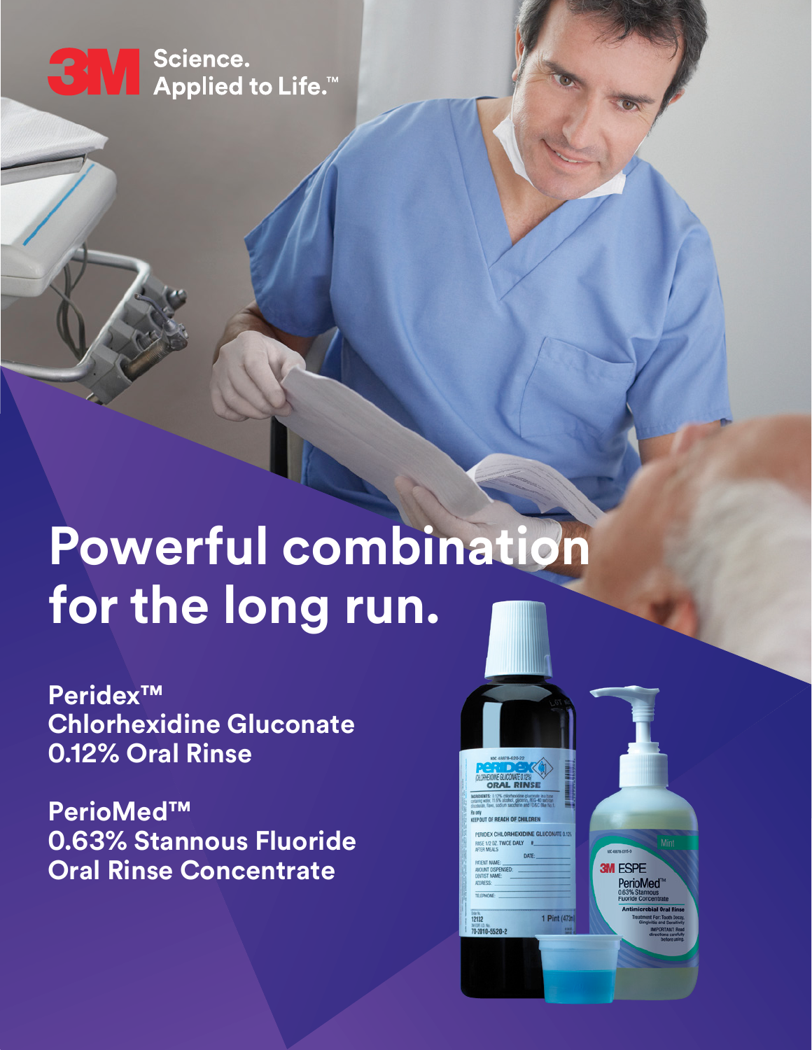

← Science.<br>← Applied to Life.™

# **Powerful combination for the long run.**

**Peridex™ Chlorhexidine Gluconate 0.12% Oral Rinse** 

**PerioMed™ 0.63% Stannous Fluoride Oral Rinse Concentrate** 



PerioMed<sup>®</sup>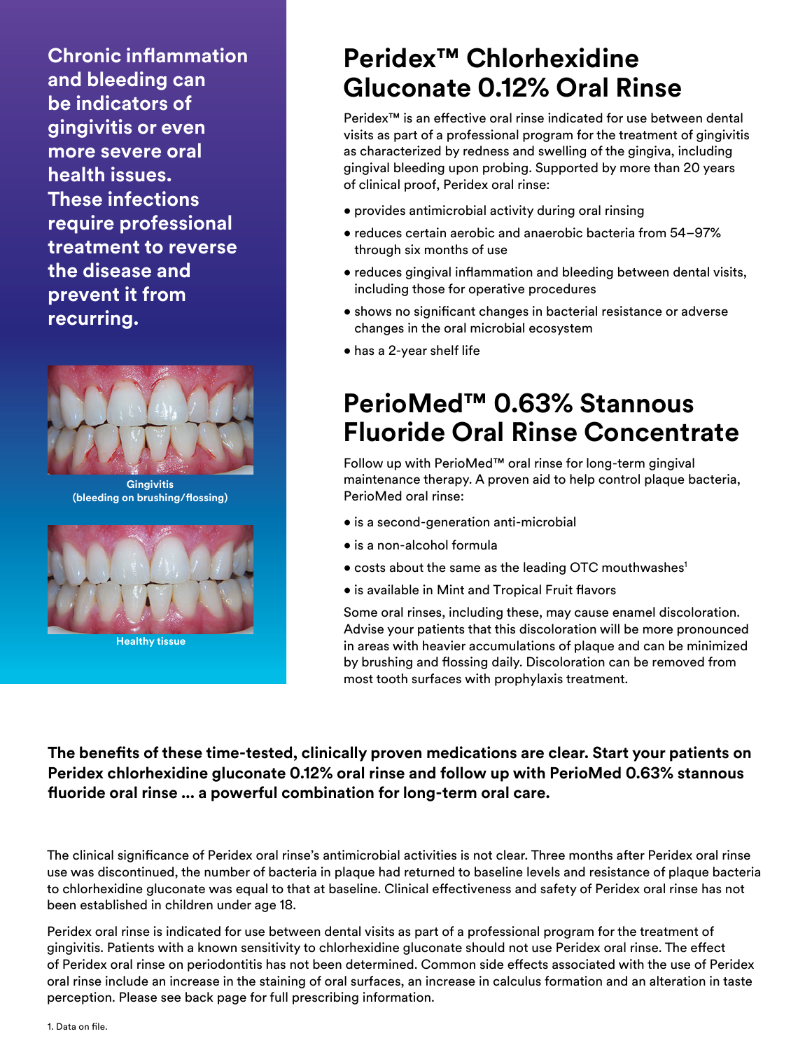**Chronic inflammation and bleeding can be indicators of gingivitis or even more severe oral health issues. These infections require professional treatment to reverse the disease and prevent it from recurring.** 



**Gingivitis (bleeding on brushing/flossing)**



**Healthy tissue**

# **Peridex™ Chlorhexidine Gluconate 0.12% Oral Rinse**

Peridex<sup>™</sup> is an effective oral rinse indicated for use between dental visits as part of a professional program for the treatment of gingivitis as characterized by redness and swelling of the gingiva, including gingival bleeding upon probing. Supported by more than 20 years of clinical proof, Peridex oral rinse:

- provides antimicrobial activity during oral rinsing
- reduces certain aerobic and anaerobic bacteria from 54–97% through six months of use
- reduces gingival inflammation and bleeding between dental visits, including those for operative procedures
- shows no significant changes in bacterial resistance or adverse changes in the oral microbial ecosystem
- has a 2-year shelf life

## **PerioMed™ 0.63% Stannous Fluoride Oral Rinse Concentrate**

Follow up with PerioMed™ oral rinse for long-term gingival maintenance therapy. A proven aid to help control plaque bacteria, PerioMed oral rinse:

- is a second-generation anti-microbial
- is a non-alcohol formula
- costs about the same as the leading OTC mouthwashes<sup>1</sup>
- is available in Mint and Tropical Fruit flavors

Some oral rinses, including these, may cause enamel discoloration. Advise your patients that this discoloration will be more pronounced in areas with heavier accumulations of plaque and can be minimized by brushing and flossing daily. Discoloration can be removed from most tooth surfaces with prophylaxis treatment.

**The benefits of these time-tested, clinically proven medications are clear. Start your patients on Peridex chlorhexidine gluconate 0.12% oral rinse and follow up with PerioMed 0.63% stannous fluoride oral rinse ... a powerful combination for long-term oral care.** 

The clinical significance of Peridex oral rinse's antimicrobial activities is not clear. Three months after Peridex oral rinse use was discontinued, the number of bacteria in plaque had returned to baseline levels and resistance of plaque bacteria to chlorhexidine gluconate was equal to that at baseline. Clinical effectiveness and safety of Peridex oral rinse has not been established in children under age 18.

Peridex oral rinse is indicated for use between dental visits as part of a professional program for the treatment of gingivitis. Patients with a known sensitivity to chlorhexidine gluconate should not use Peridex oral rinse. The effect of Peridex oral rinse on periodontitis has not been determined. Common side effects associated with the use of Peridex oral rinse include an increase in the staining of oral surfaces, an increase in calculus formation and an alteration in taste perception. Please see back page for full prescribing information.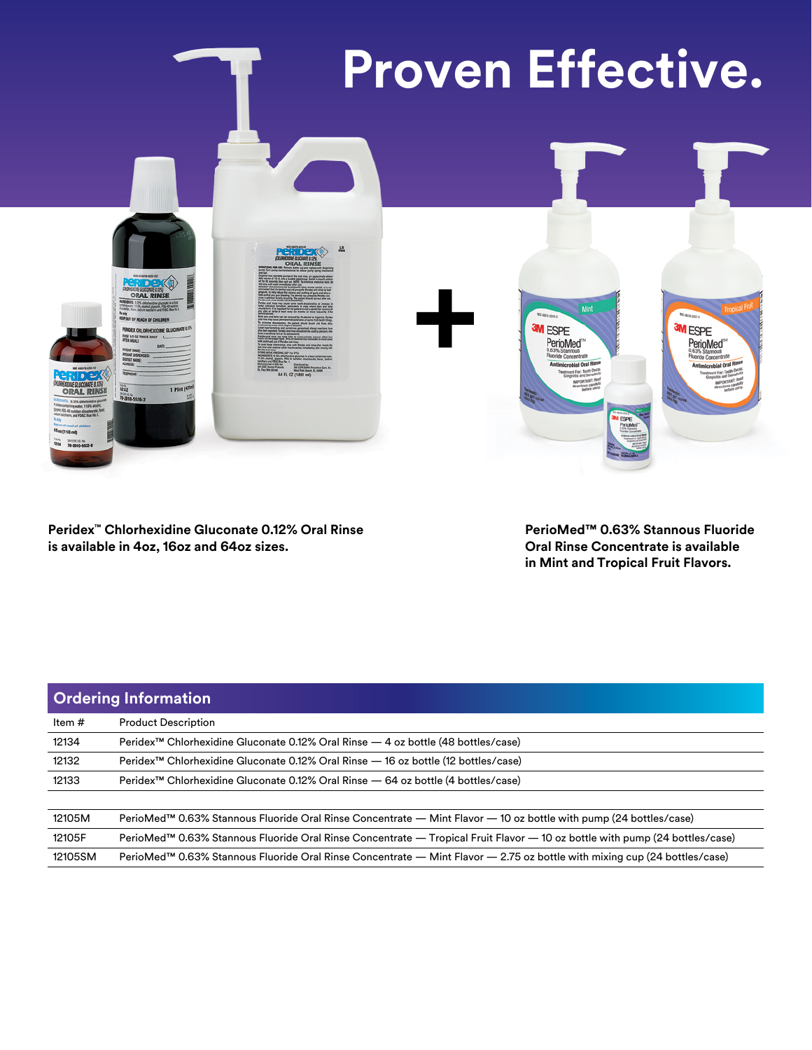

**Peridex™ Chlorhexidine Gluconate 0.12% Oral Rinse is available in 4oz, 16oz and 64oz sizes.**

**PerioMed™ 0.63% Stannous Fluoride Oral Rinse Concentrate is available in Mint and Tropical Fruit Flavors.**

| <b>Ordering Information</b> |                                                                                                                             |
|-----------------------------|-----------------------------------------------------------------------------------------------------------------------------|
| Item #                      | <b>Product Description</b>                                                                                                  |
| 12134                       | Peridex <sup>™</sup> Chlorhexidine Gluconate 0.12% Oral Rinse — 4 oz bottle (48 bottles/case)                               |
| 12132                       | Peridex <sup>™</sup> Chlorhexidine Gluconate 0.12% Oral Rinse — 16 oz bottle (12 bottles/case)                              |
| 12133                       | Peridex <sup>™</sup> Chlorhexidine Gluconate 0.12% Oral Rinse - 64 oz bottle (4 bottles/case)                               |
| 12105M                      | PerioMed™ 0.63% Stannous Fluoride Oral Rinse Concentrate — Mint Flavor — 10 oz bottle with pump (24 bottles/case)           |
| 12105F                      | PerioMed™ 0.63% Stannous Fluoride Oral Rinse Concentrate — Tropical Fruit Flavor — 10 oz bottle with pump (24 bottles/case) |
| 12105SM                     | PerioMed™ 0.63% Stannous Fluoride Oral Rinse Concentrate — Mint Flavor — 2.75 oz bottle with mixing cup (24 bottles/case)   |